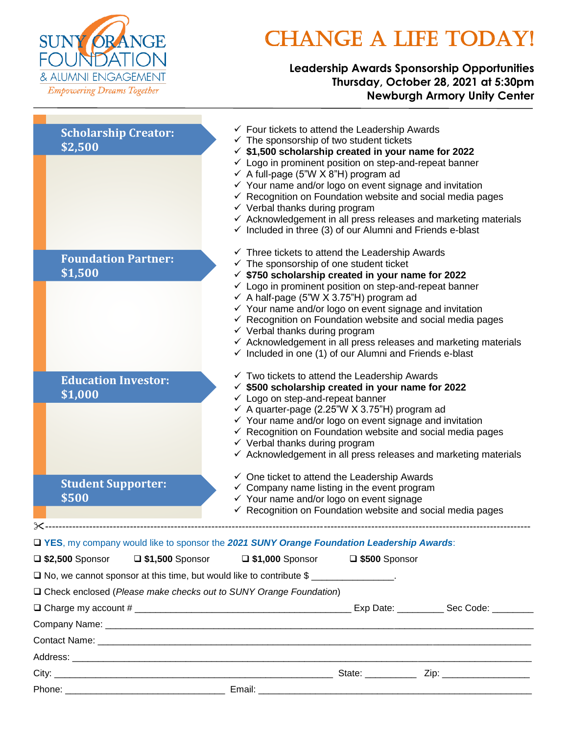

# CHANGE A LIFE TODAY!

### **Leadership Awards Sponsorship Opportunities Thursday, October 28, 2021 at 5:30pm Newburgh Armory Unity Center**

| <b>Scholarship Creator:</b><br>\$2,500                              | $\checkmark$ Four tickets to attend the Leadership Awards<br>$\checkmark$ The sponsorship of two student tickets<br>$\checkmark$ \$1,500 scholarship created in your name for 2022<br>$\checkmark$ Logo in prominent position on step-and-repeat banner<br>$\checkmark$ A full-page (5"W X 8"H) program ad<br>$\checkmark$ Your name and/or logo on event signage and invitation<br>$\checkmark$ Recognition on Foundation website and social media pages<br>$\checkmark$ Verbal thanks during program<br>$\checkmark$ Acknowledgement in all press releases and marketing materials<br>$\checkmark$ Included in three (3) of our Alumni and Friends e-blast |
|---------------------------------------------------------------------|--------------------------------------------------------------------------------------------------------------------------------------------------------------------------------------------------------------------------------------------------------------------------------------------------------------------------------------------------------------------------------------------------------------------------------------------------------------------------------------------------------------------------------------------------------------------------------------------------------------------------------------------------------------|
| <b>Foundation Partner:</b><br>\$1,500                               | $\checkmark$ Three tickets to attend the Leadership Awards<br>$\checkmark$ The sponsorship of one student ticket<br>$\checkmark$ \$750 scholarship created in your name for 2022<br>$\checkmark$ Logo in prominent position on step-and-repeat banner<br>← A half-page (5"W X 3.75"H) program ad<br>$\checkmark$ Your name and/or logo on event signage and invitation<br>$\checkmark$ Recognition on Foundation website and social media pages<br>$\checkmark$ Verbal thanks during program<br>$\checkmark$ Acknowledgement in all press releases and marketing materials<br>$\checkmark$ Included in one (1) of our Alumni and Friends e-blast             |
| <b>Education Investor:</b><br>\$1,000                               | $\checkmark$ Two tickets to attend the Leadership Awards<br>$\checkmark$ \$500 scholarship created in your name for 2022<br>$\checkmark$ Logo on step-and-repeat banner<br>$\checkmark$ A quarter-page (2.25"W X 3.75"H) program ad<br>$\checkmark$ Your name and/or logo on event signage and invitation<br>$\checkmark$ Recognition on Foundation website and social media pages<br>$\checkmark$ Verbal thanks during program<br>$\checkmark$ Acknowledgement in all press releases and marketing materials                                                                                                                                                |
| <b>Student Supporter:</b><br>\$500                                  | $\checkmark$ One ticket to attend the Leadership Awards<br>$\checkmark$ Company name listing in the event program<br>✔ Your name and/or logo on event signage                                                                                                                                                                                                                                                                                                                                                                                                                                                                                                |
|                                                                     | $\checkmark$ Recognition on Foundation website and social media pages                                                                                                                                                                                                                                                                                                                                                                                                                                                                                                                                                                                        |
|                                                                     | T YES, my company would like to sponsor the 2021 SUNY Orange Foundation Leadership Awards:                                                                                                                                                                                                                                                                                                                                                                                                                                                                                                                                                                   |
| $\Box$ \$2,500 Sponsor<br>$\square$ \$1,500 Sponsor                 | $\Box$ \$1,000 Sponsor<br>$\square$ \$500 Sponsor                                                                                                                                                                                                                                                                                                                                                                                                                                                                                                                                                                                                            |
|                                                                     | $\Box$ No, we cannot sponsor at this time, but would like to contribute \$                                                                                                                                                                                                                                                                                                                                                                                                                                                                                                                                                                                   |
| □ Check enclosed (Please make checks out to SUNY Orange Foundation) |                                                                                                                                                                                                                                                                                                                                                                                                                                                                                                                                                                                                                                                              |
|                                                                     |                                                                                                                                                                                                                                                                                                                                                                                                                                                                                                                                                                                                                                                              |
|                                                                     |                                                                                                                                                                                                                                                                                                                                                                                                                                                                                                                                                                                                                                                              |
|                                                                     |                                                                                                                                                                                                                                                                                                                                                                                                                                                                                                                                                                                                                                                              |
|                                                                     |                                                                                                                                                                                                                                                                                                                                                                                                                                                                                                                                                                                                                                                              |
|                                                                     |                                                                                                                                                                                                                                                                                                                                                                                                                                                                                                                                                                                                                                                              |
|                                                                     |                                                                                                                                                                                                                                                                                                                                                                                                                                                                                                                                                                                                                                                              |